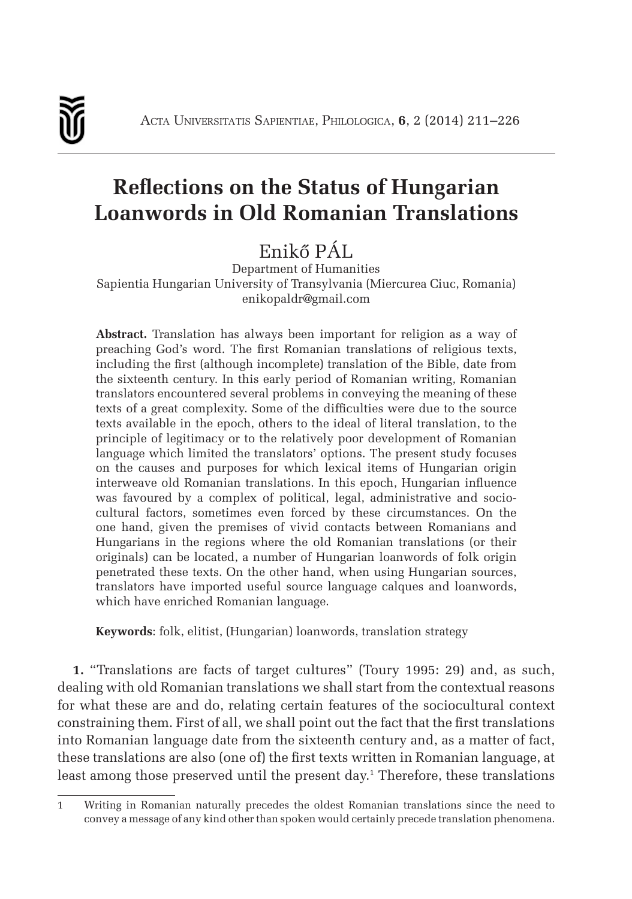

# **Reflections on the Status of Hungarian Loanwords in Old Romanian Translations**

## Enikő PÁL

Department of Humanities Sapientia Hungarian University of Transylvania (Miercurea Ciuc, Romania) enikopaldr@gmail.com

**Abstract.** Translation has always been important for religion as a way of preaching God's word. The first Romanian translations of religious texts, including the first (although incomplete) translation of the Bible, date from the sixteenth century. In this early period of Romanian writing, Romanian translators encountered several problems in conveying the meaning of these texts of a great complexity. Some of the difficulties were due to the source texts available in the epoch, others to the ideal of literal translation, to the principle of legitimacy or to the relatively poor development of Romanian language which limited the translators' options. The present study focuses on the causes and purposes for which lexical items of Hungarian origin interweave old Romanian translations. In this epoch, Hungarian influence was favoured by a complex of political, legal, administrative and sociocultural factors, sometimes even forced by these circumstances. On the one hand, given the premises of vivid contacts between Romanians and Hungarians in the regions where the old Romanian translations (or their originals) can be located, a number of Hungarian loanwords of folk origin penetrated these texts. On the other hand, when using Hungarian sources, translators have imported useful source language calques and loanwords, which have enriched Romanian language.

**Keywords**: folk, elitist, (Hungarian) loanwords, translation strategy

**1.** "Translations are facts of target cultures" (Toury 1995: 29) and, as such, dealing with old Romanian translations we shall start from the contextual reasons for what these are and do, relating certain features of the sociocultural context constraining them. First of all, we shall point out the fact that the first translations into Romanian language date from the sixteenth century and, as a matter of fact, these translations are also (one of) the first texts written in Romanian language, at least among those preserved until the present day. 1 Therefore, these translations

<sup>1</sup> Writing in Romanian naturally precedes the oldest Romanian translations since the need to convey a message of any kind other than spoken would certainly precede translation phenomena.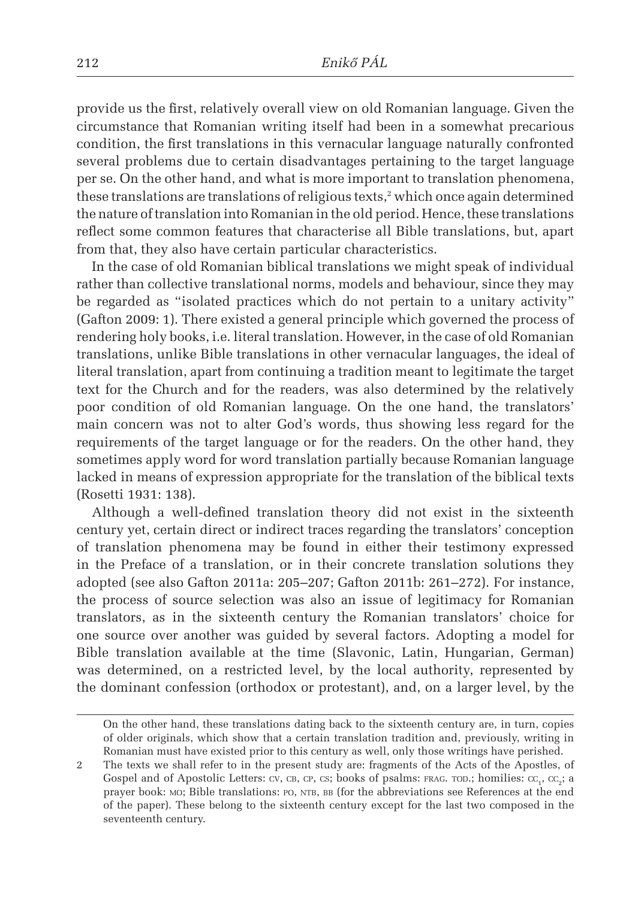provide us the first, relatively overall view on old Romanian language. Given the circumstance that Romanian writing itself had been in a somewhat precarious condition, the first translations in this vernacular language naturally confronted several problems due to certain disadvantages pertaining to the target language per se. On the other hand, and what is more important to translation phenomena, these translations are translations of religious texts, $\alpha$  which once again determined the nature of translation into Romanian in the old period. Hence, these translations reflect some common features that characterise all Bible translations, but, apart from that, they also have certain particular characteristics.

In the case of old Romanian biblical translations we might speak of individual rather than collective translational norms, models and behaviour, since they may be regarded as "isolated practices which do not pertain to a unitary activity" (Gafton 2009: 1). There existed a general principle which governed the process of rendering holy books, i.e. literal translation. However, in the case of old Romanian translations, unlike Bible translations in other vernacular languages, the ideal of literal translation, apart from continuing a tradition meant to legitimate the target text for the Church and for the readers, was also determined by the relatively poor condition of old Romanian language. On the one hand, the translators' main concern was not to alter God's words, thus showing less regard for the requirements of the target language or for the readers. On the other hand, they sometimes apply word for word translation partially because Romanian language lacked in means of expression appropriate for the translation of the biblical texts (Rosetti 1931: 138).

Although a well-defined translation theory did not exist in the sixteenth century yet, certain direct or indirect traces regarding the translators' conception of translation phenomena may be found in either their testimony expressed in the Preface of a translation, or in their concrete translation solutions they adopted (see also Gafton 2011a: 205–207; Gafton 2011b: 261–272). For instance, the process of source selection was also an issue of legitimacy for Romanian translators, as in the sixteenth century the Romanian translators' choice for one source over another was guided by several factors. Adopting a model for Bible translation available at the time (Slavonic, Latin, Hungarian, German) was determined, on a restricted level, by the local authority, represented by the dominant confession (orthodox or protestant), and, on a larger level, by the

On the other hand, these translations dating back to the sixteenth century are, in turn, copies of older originals, which show that a certain translation tradition and, previously, writing in Romanian must have existed prior to this century as well, only those writings have perished.

<sup>2</sup> The texts we shall refer to in the present study are: fragments of the Acts of the Apostles, of Gospel and of Apostolic Letters: cv, cв, cр, cs; books of psalms:  $_{\rm FRAG.}$  тор.; homilies: cc<sub>1</sub>, cc<sub>2</sub>; a prayer book: MO; Bible translations: PO, NTB, BB (for the abbreviations see References at the end of the paper). These belong to the sixteenth century except for the last two composed in the seventeenth century.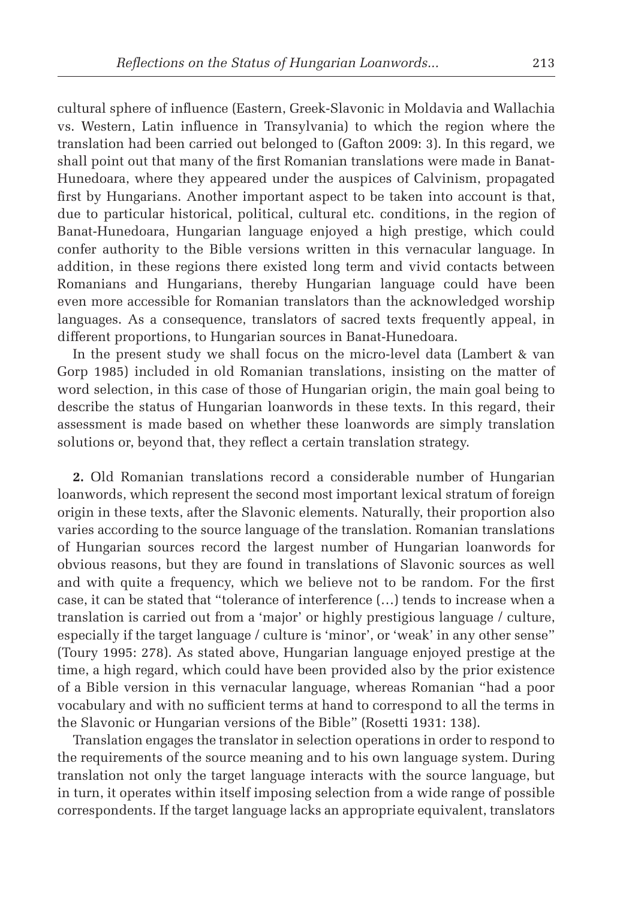cultural sphere of influence (Eastern, Greek-Slavonic in Moldavia and Wallachia vs. Western, Latin influence in Transylvania) to which the region where the translation had been carried out belonged to (Gafton 2009: 3). In this regard, we shall point out that many of the first Romanian translations were made in Banat-Hunedoara, where they appeared under the auspices of Calvinism, propagated first by Hungarians. Another important aspect to be taken into account is that, due to particular historical, political, cultural etc. conditions, in the region of Banat-Hunedoara, Hungarian language enjoyed a high prestige, which could confer authority to the Bible versions written in this vernacular language. In addition, in these regions there existed long term and vivid contacts between Romanians and Hungarians, thereby Hungarian language could have been even more accessible for Romanian translators than the acknowledged worship languages. As a consequence, translators of sacred texts frequently appeal, in different proportions, to Hungarian sources in Banat-Hunedoara.

In the present study we shall focus on the micro-level data (Lambert & van Gorp 1985) included in old Romanian translations, insisting on the matter of word selection, in this case of those of Hungarian origin, the main goal being to describe the status of Hungarian loanwords in these texts. In this regard, their assessment is made based on whether these loanwords are simply translation solutions or, beyond that, they reflect a certain translation strategy.

**2.** Old Romanian translations record a considerable number of Hungarian loanwords, which represent the second most important lexical stratum of foreign origin in these texts, after the Slavonic elements. Naturally, their proportion also varies according to the source language of the translation. Romanian translations of Hungarian sources record the largest number of Hungarian loanwords for obvious reasons, but they are found in translations of Slavonic sources as well and with quite a frequency, which we believe not to be random. For the first case, it can be stated that "tolerance of interference (…) tends to increase when a translation is carried out from a 'major' or highly prestigious language / culture, especially if the target language / culture is 'minor', or 'weak' in any other sense" (Toury 1995: 278). As stated above, Hungarian language enjoyed prestige at the time, a high regard, which could have been provided also by the prior existence of a Bible version in this vernacular language, whereas Romanian "had a poor vocabulary and with no sufficient terms at hand to correspond to all the terms in the Slavonic or Hungarian versions of the Bible" (Rosetti 1931: 138).

Translation engages the translator in selection operations in order to respond to the requirements of the source meaning and to his own language system. During translation not only the target language interacts with the source language, but in turn, it operates within itself imposing selection from a wide range of possible correspondents. If the target language lacks an appropriate equivalent, translators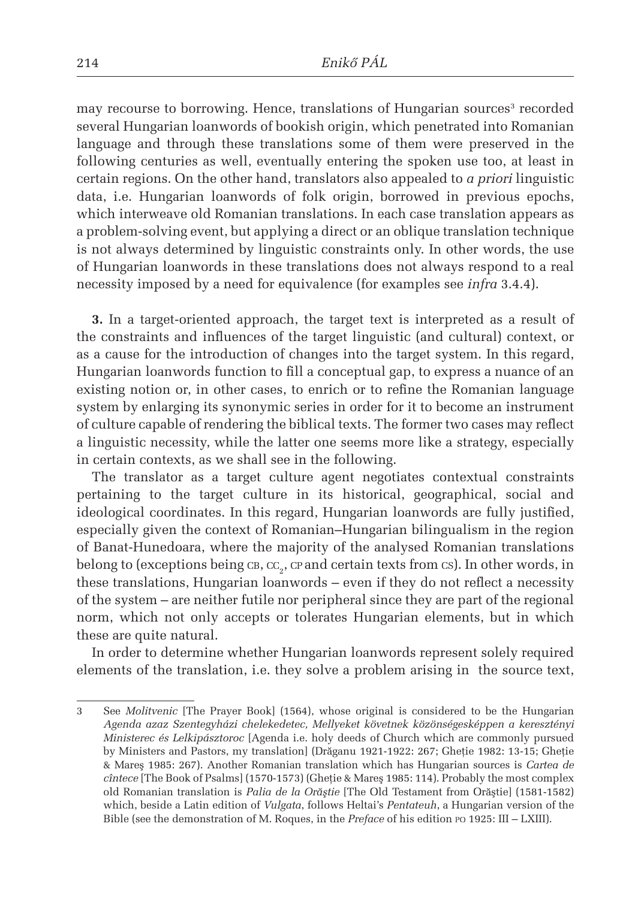may recourse to borrowing. Hence, translations of Hungarian sources $^{\rm 3}$  recorded several Hungarian loanwords of bookish origin, which penetrated into Romanian language and through these translations some of them were preserved in the following centuries as well, eventually entering the spoken use too, at least in certain regions. On the other hand, translators also appealed to *a priori* linguistic data, i.e. Hungarian loanwords of folk origin, borrowed in previous epochs, which interweave old Romanian translations. In each case translation appears as a problem-solving event, but applying a direct or an oblique translation technique is not always determined by linguistic constraints only. In other words, the use of Hungarian loanwords in these translations does not always respond to a real necessity imposed by a need for equivalence (for examples see *infra* 3.4.4).

**3.** In a target-oriented approach, the target text is interpreted as a result of the constraints and influences of the target linguistic (and cultural) context, or as a cause for the introduction of changes into the target system. In this regard, Hungarian loanwords function to fill a conceptual gap, to express a nuance of an existing notion or, in other cases, to enrich or to refine the Romanian language system by enlarging its synonymic series in order for it to become an instrument of culture capable of rendering the biblical texts. The former two cases may reflect a linguistic necessity, while the latter one seems more like a strategy, especially in certain contexts, as we shall see in the following.

The translator as a target culture agent negotiates contextual constraints pertaining to the target culture in its historical, geographical, social and ideological coordinates. In this regard, Hungarian loanwords are fully justified, especially given the context of Romanian–Hungarian bilingualism in the region of Banat-Hunedoara, where the majority of the analysed Romanian translations belong to (exceptions being  $\text{cs}, \text{cc}_2$ ,  $\text{cr}$  and certain texts from  $\text{cs}$ ). In other words, in these translations, Hungarian loanwords – even if they do not reflect a necessity of the system – are neither futile nor peripheral since they are part of the regional norm, which not only accepts or tolerates Hungarian elements, but in which these are quite natural.

In order to determine whether Hungarian loanwords represent solely required elements of the translation, i.e. they solve a problem arising in the source text,

<sup>3</sup> See *Molitvenic* [The Prayer Book] (1564), whose original is considered to be the Hungarian *Agenda azaz Szentegyházi chelekedetec, Mellyeket követnek közönségesképpen a keresztényi Ministerec és Lelkipásztoroc* [Agenda i.e. holy deeds of Church which are commonly pursued by Ministers and Pastors, my translation] (Drăganu 1921-1922: 267; Gheţie 1982: 13-15; Gheţie & Mareş 1985: 267). Another Romanian translation which has Hungarian sources is *Cartea de cîntece* [The Book of Psalms] (1570-1573) (Gheţie & Mareş 1985: 114). Probably the most complex old Romanian translation is *Palia de la Orăştie* [The Old Testament from Orăştie] (1581-1582) which, beside a Latin edition of *Vulgata*, follows Heltai's *Pentateuh*, a Hungarian version of the Bible (see the demonstration of M. Roques, in the *Preface* of his edition po 1925: III – LXIII).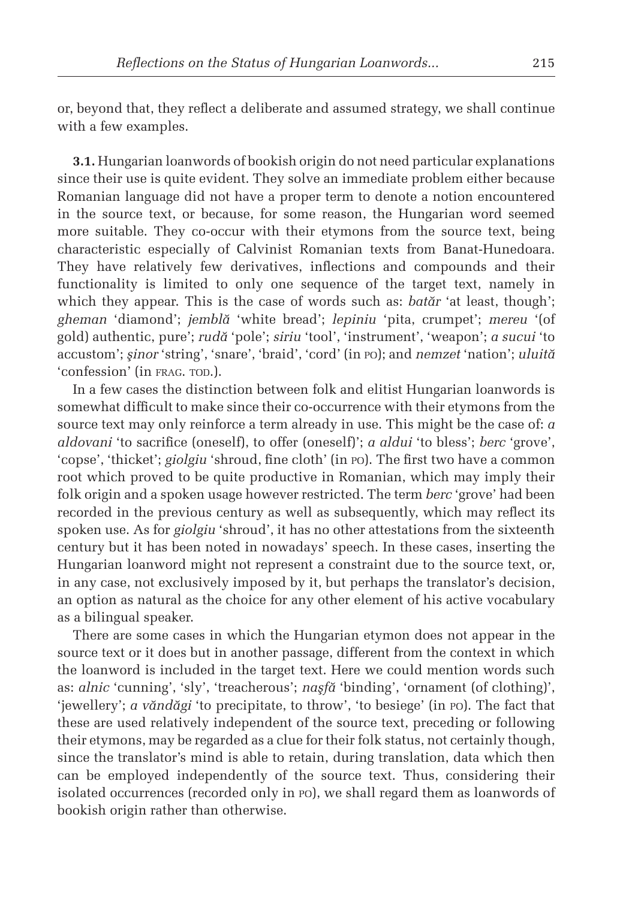or, beyond that, they reflect a deliberate and assumed strategy, we shall continue with a few examples.

**3.1.** Hungarian loanwords of bookish origin do not need particular explanations since their use is quite evident. They solve an immediate problem either because Romanian language did not have a proper term to denote a notion encountered in the source text, or because, for some reason, the Hungarian word seemed more suitable. They co-occur with their etymons from the source text, being characteristic especially of Calvinist Romanian texts from Banat-Hunedoara. They have relatively few derivatives, inflections and compounds and their functionality is limited to only one sequence of the target text, namely in which they appear. This is the case of words such as: *batăr* 'at least, though'; *gheman* 'diamond'; *jemblă* 'white bread'; *lepiniu* 'pita, crumpet'; *mereu* '(of gold) authentic, pure'; *rudă* 'pole'; *siriu* 'tool', 'instrument', 'weapon'; *a sucui* 'to accustom'; *şinor* 'string', 'snare', 'braid', 'cord' (in po); and *nemzet* 'nation'; *uluită* 'confession' (in FRAG. TOD.).

In a few cases the distinction between folk and elitist Hungarian loanwords is somewhat difficult to make since their co-occurrence with their etymons from the source text may only reinforce a term already in use. This might be the case of: *a aldovani* 'to sacrifice (oneself), to offer (oneself)'; *a aldui* 'to bless'; *berc* 'grove', 'copse', 'thicket'; *giolgiu* 'shroud, fine cloth' (in po). The first two have a common root which proved to be quite productive in Romanian, which may imply their folk origin and a spoken usage however restricted. The term *berc* 'grove' had been recorded in the previous century as well as subsequently, which may reflect its spoken use. As for *giolgiu* 'shroud', it has no other attestations from the sixteenth century but it has been noted in nowadays' speech. In these cases, inserting the Hungarian loanword might not represent a constraint due to the source text, or, in any case, not exclusively imposed by it, but perhaps the translator's decision, an option as natural as the choice for any other element of his active vocabulary as a bilingual speaker.

There are some cases in which the Hungarian etymon does not appear in the source text or it does but in another passage, different from the context in which the loanword is included in the target text. Here we could mention words such as: *alnic* 'cunning', 'sly', 'treacherous'; *naşfă* 'binding', 'ornament (of clothing)', 'jewellery'; *a văndăgi* 'to precipitate, to throw', 'to besiege' (in po). The fact that these are used relatively independent of the source text, preceding or following their etymons, may be regarded as a clue for their folk status, not certainly though, since the translator's mind is able to retain, during translation, data which then can be employed independently of the source text. Thus, considering their isolated occurrences (recorded only in po), we shall regard them as loanwords of bookish origin rather than otherwise.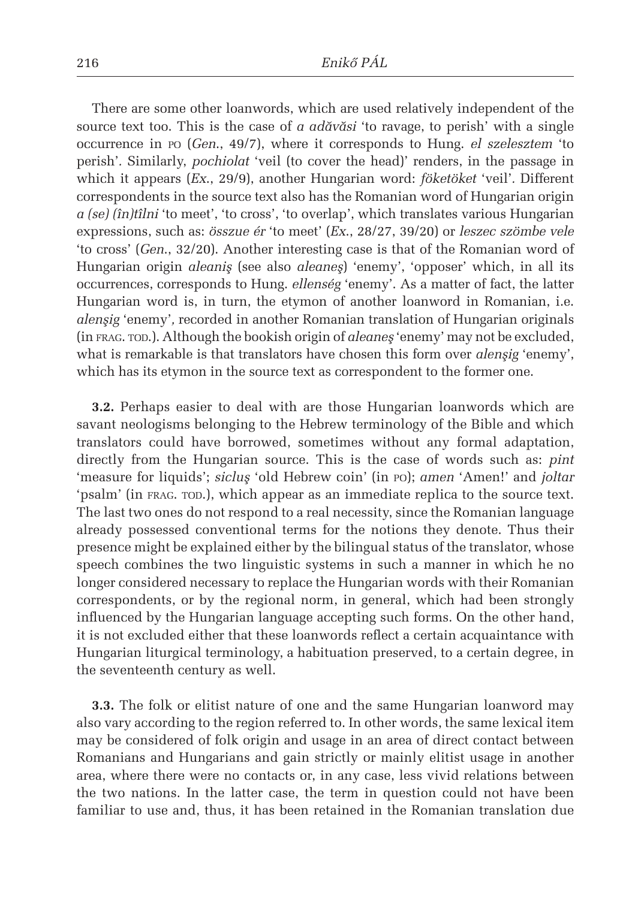There are some other loanwords, which are used relatively independent of the source text too. This is the case of *a adăvăsi* 'to ravage, to perish' with a single occurrence in po (*Gen*., 49/7), where it corresponds to Hung. *el szelesztem* 'to perish'*.* Similarly, *pochiolat* 'veil (to cover the head)' renders, in the passage in which it appears (*Ex*., 29/9), another Hungarian word: *föketöket* 'veil'*.* Different correspondents in the source text also has the Romanian word of Hungarian origin *a (se) (în)tîlni* 'to meet', 'to cross', 'to overlap', which translates various Hungarian expressions, such as: *összue ér* 'to meet' (*Ex*., 28/27, 39/20) or *leszec szömbe vele*  'to cross' (*Gen*., 32/20). Another interesting case is that of the Romanian word of Hungarian origin *aleaniş* (see also *aleaneş*) 'enemy', 'opposer' which, in all its occurrences, corresponds to Hung. *ellenség* 'enemy'. As a matter of fact, the latter Hungarian word is, in turn, the etymon of another loanword in Romanian, i.e. *alenşig* 'enemy'*,* recorded in another Romanian translation of Hungarian originals (in frag. tod.). Although the bookish origin of *aleaneş* 'enemy' may not be excluded, what is remarkable is that translators have chosen this form over *alenşig* 'enemy', which has its etymon in the source text as correspondent to the former one.

**3.2.** Perhaps easier to deal with are those Hungarian loanwords which are savant neologisms belonging to the Hebrew terminology of the Bible and which translators could have borrowed, sometimes without any formal adaptation, directly from the Hungarian source. This is the case of words such as: *pint*  'measure for liquids'; *sicluş* 'old Hebrew coin' (in po); *amen* 'Amen!' and *joltar* 'psalm' (in FRAG. TOD.), which appear as an immediate replica to the source text. The last two ones do not respond to a real necessity, since the Romanian language already possessed conventional terms for the notions they denote. Thus their presence might be explained either by the bilingual status of the translator, whose speech combines the two linguistic systems in such a manner in which he no longer considered necessary to replace the Hungarian words with their Romanian correspondents, or by the regional norm, in general, which had been strongly influenced by the Hungarian language accepting such forms. On the other hand, it is not excluded either that these loanwords reflect a certain acquaintance with Hungarian liturgical terminology, a habituation preserved, to a certain degree, in the seventeenth century as well.

**3.3.** The folk or elitist nature of one and the same Hungarian loanword may also vary according to the region referred to. In other words, the same lexical item may be considered of folk origin and usage in an area of direct contact between Romanians and Hungarians and gain strictly or mainly elitist usage in another area, where there were no contacts or, in any case, less vivid relations between the two nations. In the latter case, the term in question could not have been familiar to use and, thus, it has been retained in the Romanian translation due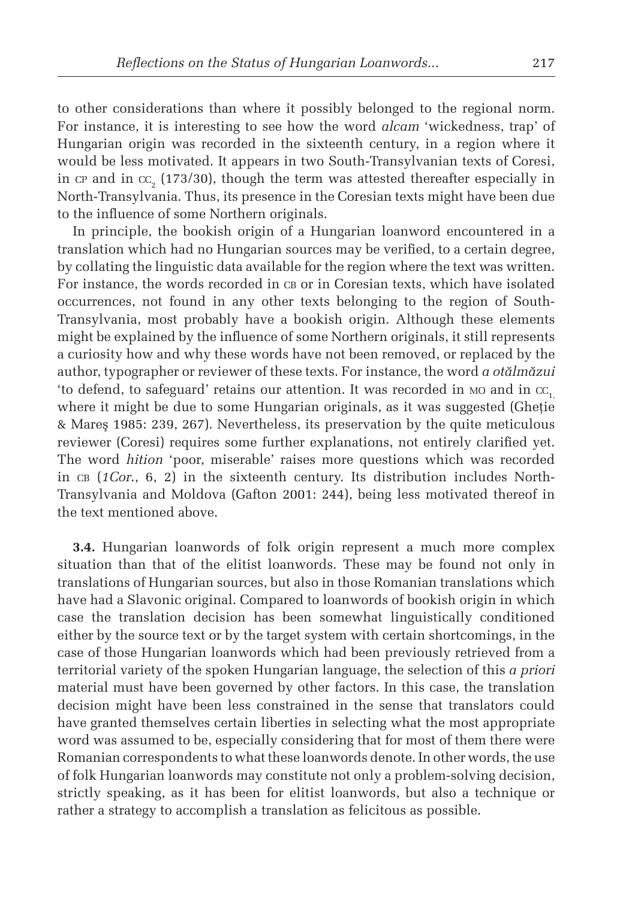to other considerations than where it possibly belonged to the regional norm. For instance, it is interesting to see how the word *alcam* 'wickedness, trap' of Hungarian origin was recorded in the sixteenth century, in a region where it would be less motivated. It appears in two South-Transylvanian texts of Coresi, in  $cr$  and in  $cc$ , (173/30), though the term was attested thereafter especially in North-Transylvania. Thus, its presence in the Coresian texts might have been due to the influence of some Northern originals.

In principle, the bookish origin of a Hungarian loanword encountered in a translation which had no Hungarian sources may be verified, to a certain degree, by collating the linguistic data available for the region where the text was written. For instance, the words recorded in  $\text{CB}$  or in Coresian texts, which have isolated occurrences, not found in any other texts belonging to the region of South-Transylvania, most probably have a bookish origin. Although these elements might be explained by the influence of some Northern originals, it still represents a curiosity how and why these words have not been removed, or replaced by the author, typographer or reviewer of these texts. For instance, the word *a otălmăzui* 'to defend, to safeguard' retains our attention. It was recorded in  $\mu$ o and in cc<sub>1</sub> where it might be due to some Hungarian originals, as it was suggested (Ghetie & Mareş 1985: 239, 267). Nevertheless, its preservation by the quite meticulous reviewer (Coresi) requires some further explanations, not entirely clarified yet. The word *hition* 'poor, miserable' raises more questions which was recorded in cb (*1Cor*., 6, 2) in the sixteenth century. Its distribution includes North-Transylvania and Moldova (Gafton 2001: 244), being less motivated thereof in the text mentioned above.

**3.4.** Hungarian loanwords of folk origin represent a much more complex situation than that of the elitist loanwords. These may be found not only in translations of Hungarian sources, but also in those Romanian translations which have had a Slavonic original. Compared to loanwords of bookish origin in which case the translation decision has been somewhat linguistically conditioned either by the source text or by the target system with certain shortcomings, in the case of those Hungarian loanwords which had been previously retrieved from a territorial variety of the spoken Hungarian language, the selection of this *a priori* material must have been governed by other factors. In this case, the translation decision might have been less constrained in the sense that translators could have granted themselves certain liberties in selecting what the most appropriate word was assumed to be, especially considering that for most of them there were Romanian correspondents to what these loanwords denote. In other words, the use of folk Hungarian loanwords may constitute not only a problem-solving decision, strictly speaking, as it has been for elitist loanwords, but also a technique or rather a strategy to accomplish a translation as felicitous as possible.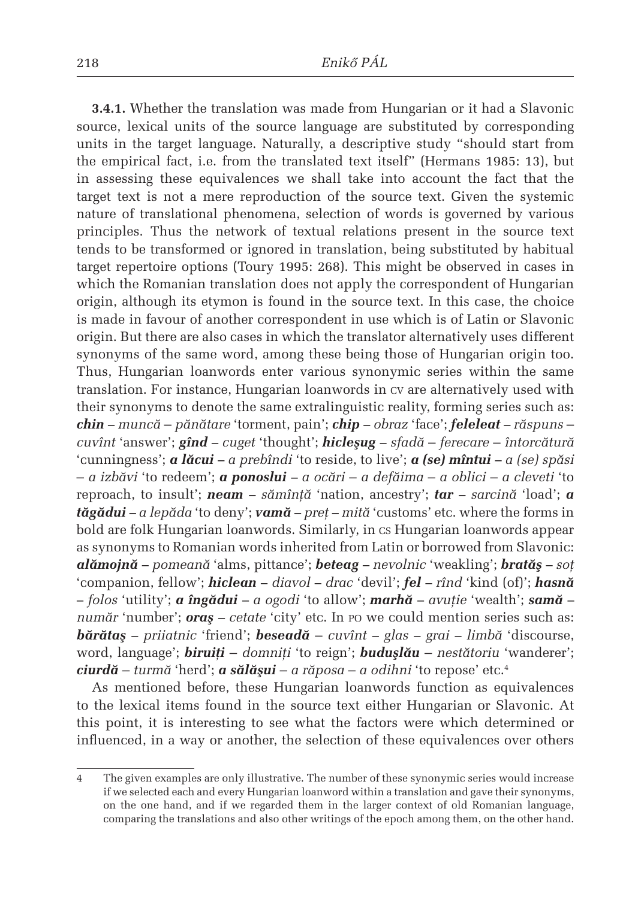**3.4.1.** Whether the translation was made from Hungarian or it had a Slavonic source, lexical units of the source language are substituted by corresponding units in the target language. Naturally, a descriptive study "should start from the empirical fact, i.e. from the translated text itself" (Hermans 1985: 13), but in assessing these equivalences we shall take into account the fact that the target text is not a mere reproduction of the source text. Given the systemic nature of translational phenomena, selection of words is governed by various principles. Thus the network of textual relations present in the source text tends to be transformed or ignored in translation, being substituted by habitual target repertoire options (Toury 1995: 268). This might be observed in cases in which the Romanian translation does not apply the correspondent of Hungarian origin, although its etymon is found in the source text. In this case, the choice is made in favour of another correspondent in use which is of Latin or Slavonic origin. But there are also cases in which the translator alternatively uses different synonyms of the same word, among these being those of Hungarian origin too. Thus, Hungarian loanwords enter various synonymic series within the same translation. For instance, Hungarian loanwords in cv are alternatively used with their synonyms to denote the same extralinguistic reality, forming series such as: *chin – muncă* – *pănătare* 'torment, pain'; *chip – obraz* 'face'; *feleleat – răspuns* – *cuvînt* 'answer'; *gînd – cuget* 'thought'; *hicleşug – sfadă* – *ferecare* – *întorcătură*  'cunningness'; *a lăcui – a prebîndi* 'to reside, to live'; *a (se) mîntui – a (se) spăsi* – *a izbăvi* 'to redeem'; *a ponoslui – a ocări* – *a defăima* – *a oblici* – *a cleveti* 'to reproach, to insult'; *neam – sămînţă* 'nation, ancestry'; *tar – sarcină* 'load'; *a tăgădui – a lepăda* 'to deny'; *vamă – preţ – mită* 'customs' etc. where the forms in bold are folk Hungarian loanwords. Similarly, in cs Hungarian loanwords appear as synonyms to Romanian words inherited from Latin or borrowed from Slavonic: *alămojnă – pomeană* 'alms, pittance'; *beteag – nevolnic* 'weakling'; *bratăş – soţ*  'companion, fellow'; *hiclean – diavol – drac* 'devil'; *fel – rînd* 'kind (of)'; *hasnă – folos* 'utility'; *a îngădui – a ogodi* 'to allow'; *marhă – avuţie* 'wealth'; *samă – număr* 'number'; *oraş – cetate* 'city' etc. In po we could mention series such as: *bărătaş – priiatnic* 'friend'; *beseadă* – *cuvînt – glas – grai – limbă* 'discourse, word, language'; *biruiţi* – *domniţi* 'to reign'; *buduşlău* – *nestătoriu* 'wanderer'; *ciurdă* – *turmă* 'herd'; *a sălăşui* – *a răposa* – *a odihni* 'to repose' etc. 4

As mentioned before, these Hungarian loanwords function as equivalences to the lexical items found in the source text either Hungarian or Slavonic. At this point, it is interesting to see what the factors were which determined or influenced, in a way or another, the selection of these equivalences over others

<sup>4</sup> The given examples are only illustrative. The number of these synonymic series would increase if we selected each and every Hungarian loanword within a translation and gave their synonyms, on the one hand, and if we regarded them in the larger context of old Romanian language, comparing the translations and also other writings of the epoch among them, on the other hand.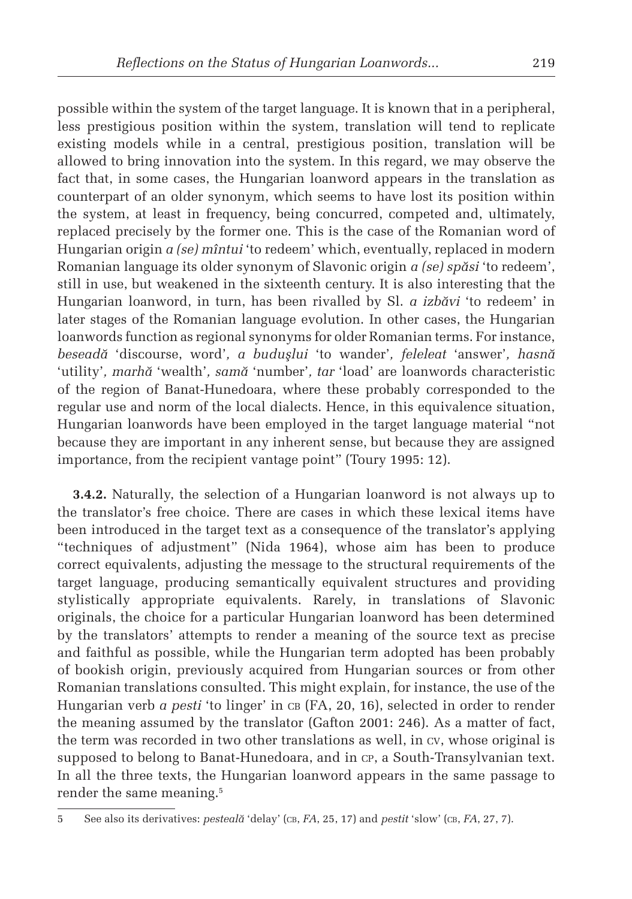possible within the system of the target language. It is known that in a peripheral, less prestigious position within the system, translation will tend to replicate existing models while in a central, prestigious position, translation will be allowed to bring innovation into the system. In this regard, we may observe the fact that, in some cases, the Hungarian loanword appears in the translation as counterpart of an older synonym, which seems to have lost its position within the system, at least in frequency, being concurred, competed and, ultimately, replaced precisely by the former one. This is the case of the Romanian word of Hungarian origin *a (se) mîntui* 'to redeem' which, eventually, replaced in modern Romanian language its older synonym of Slavonic origin *a (se) spăsi* 'to redeem', still in use, but weakened in the sixteenth century. It is also interesting that the Hungarian loanword, in turn, has been rivalled by Sl. *a izbăvi* 'to redeem' in later stages of the Romanian language evolution. In other cases, the Hungarian loanwords function as regional synonyms for older Romanian terms. For instance, *beseadă* 'discourse, word'*, a buduşlui* 'to wander'*, feleleat* 'answer'*, hasnă*  'utility'*, marhă* 'wealth'*, samă* 'number'*, tar* 'load' are loanwords characteristic of the region of Banat-Hunedoara, where these probably corresponded to the regular use and norm of the local dialects. Hence, in this equivalence situation, Hungarian loanwords have been employed in the target language material "not because they are important in any inherent sense, but because they are assigned importance, from the recipient vantage point" (Toury 1995: 12).

**3.4.2.** Naturally, the selection of a Hungarian loanword is not always up to the translator's free choice. There are cases in which these lexical items have been introduced in the target text as a consequence of the translator's applying "techniques of adjustment" (Nida 1964), whose aim has been to produce correct equivalents, adjusting the message to the structural requirements of the target language, producing semantically equivalent structures and providing stylistically appropriate equivalents. Rarely, in translations of Slavonic originals, the choice for a particular Hungarian loanword has been determined by the translators' attempts to render a meaning of the source text as precise and faithful as possible, while the Hungarian term adopted has been probably of bookish origin, previously acquired from Hungarian sources or from other Romanian translations consulted. This might explain, for instance, the use of the Hungarian verb *a pesti* 'to linger' in CB (FA, 20, 16), selected in order to render the meaning assumed by the translator (Gafton 2001: 246). As a matter of fact, the term was recorded in two other translations as well, in cv, whose original is supposed to belong to Banat-Hunedoara, and in CP, a South-Transylvanian text. In all the three texts, the Hungarian loanword appears in the same passage to render the same meaning. 5

<sup>5</sup> See also its derivatives: *pesteală* 'delay' (CB, *FA*, 25, 17) and *pestit* 'slow' (CB, *FA*, 27, 7).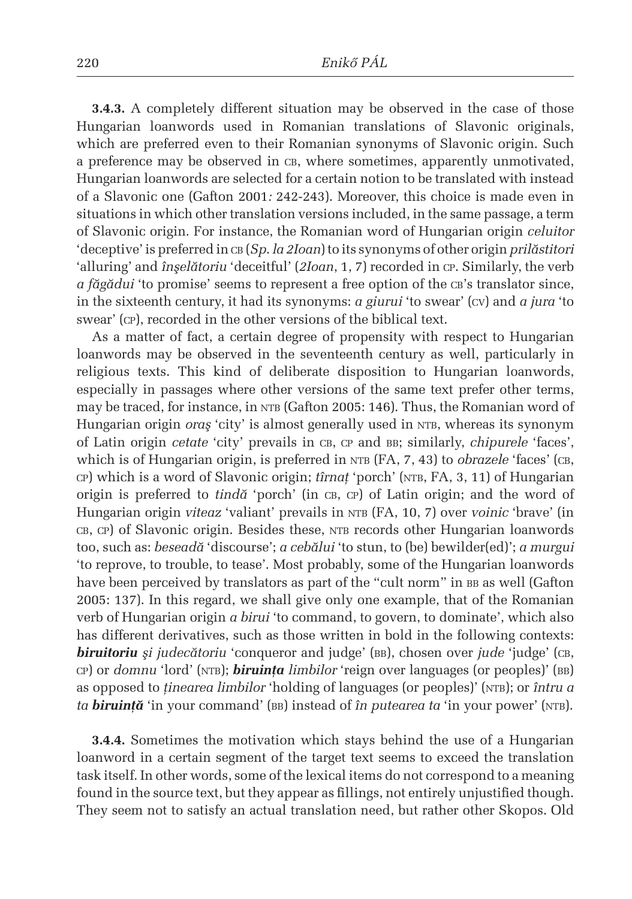**3.4.3.** A completely different situation may be observed in the case of those Hungarian loanwords used in Romanian translations of Slavonic originals, which are preferred even to their Romanian synonyms of Slavonic origin. Such a preference may be observed in cb, where sometimes, apparently unmotivated, Hungarian loanwords are selected for a certain notion to be translated with instead of a Slavonic one (Gafton 2001*:* 242-243). Moreover, this choice is made even in situations in which other translation versions included, in the same passage, a term of Slavonic origin. For instance, the Romanian word of Hungarian origin *celuitor*  'deceptive' is preferred in cb (*Sp*. *la 2Ioan*) to its synonyms of other origin *prilăstitori*  'alluring' and *înşelătoriu* 'deceitful' (*2Ioan*, 1, 7) recorded in cp. Similarly, the verb *a făgădui* 'to promise' seems to represent a free option of the ca's translator since, in the sixteenth century, it had its synonyms: *a giurui* 'to swear' (cv) and *a jura* 'to swear' (cp), recorded in the other versions of the biblical text.

As a matter of fact, a certain degree of propensity with respect to Hungarian loanwords may be observed in the seventeenth century as well, particularly in religious texts. This kind of deliberate disposition to Hungarian loanwords, especially in passages where other versions of the same text prefer other terms, may be traced, for instance, in NTB (Gafton 2005: 146). Thus, the Romanian word of Hungarian origin *oraş* 'city' is almost generally used in NTB, whereas its synonym of Latin origin *cetate* 'city' prevails in cb, cp and bb; similarly, *chipurele* 'faces', which is of Hungarian origin, is preferred in NTB (FA, 7, 43) to *obrazele* 'faces' (CB, cp) which is a word of Slavonic origin; *tîrnat* 'porch' (NTB, FA, 3, 11) of Hungarian origin is preferred to *tindă* 'porch' (in cb, cp) of Latin origin; and the word of Hungarian origin *viteaz* 'valiant' prevails in NTB (FA, 10, 7) over *voinic* 'brave' (in cb, cp) of Slavonic origin. Besides these, NTB records other Hungarian loanwords too, such as: *beseadă* 'discourse'; *a cebălui* 'to stun, to (be) bewilder(ed)'; *a murgui* 'to reprove, to trouble, to tease'. Most probably, some of the Hungarian loanwords have been perceived by translators as part of the "cult norm" in BB as well (Gafton 2005: 137). In this regard, we shall give only one example, that of the Romanian verb of Hungarian origin *a birui* 'to command, to govern, to dominate', which also has different derivatives, such as those written in bold in the following contexts: *biruitoriu* și judecătoriu 'conqueror and judge' (BB), chosen over jude 'judge' (CB, cp) or *domnu* 'lord' (ntb); *biruinţa limbilor* 'reign over languages (or peoples)' (bb) as opposed to *tinearea limbilor* 'holding of languages (or peoples)' (NTB); or *întru a ta biruință* 'in your command' (BB) instead of *în putearea ta* 'in your power' (NTB).

**3.4.4.** Sometimes the motivation which stays behind the use of a Hungarian loanword in a certain segment of the target text seems to exceed the translation task itself. In other words, some of the lexical items do not correspond to a meaning found in the source text, but they appear as fillings, not entirely unjustified though. They seem not to satisfy an actual translation need, but rather other Skopos. Old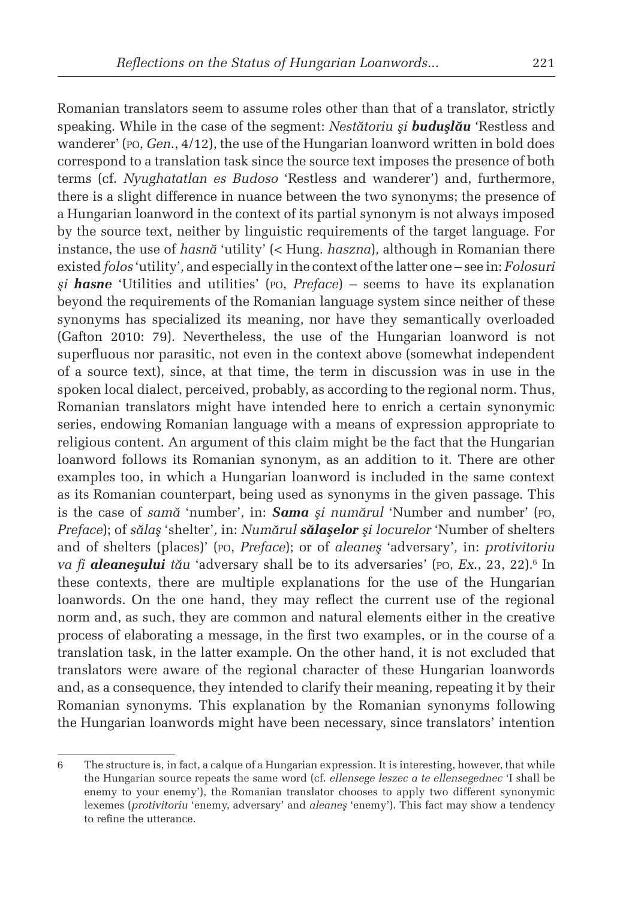Romanian translators seem to assume roles other than that of a translator, strictly speaking. While in the case of the segment: *Nestătoriu şi buduşlău* 'Restless and wanderer' (po, *Gen*., 4/12), the use of the Hungarian loanword written in bold does correspond to a translation task since the source text imposes the presence of both terms (cf. *Nyughatatlan es Budoso* 'Restless and wanderer') and, furthermore, there is a slight difference in nuance between the two synonyms; the presence of a Hungarian loanword in the context of its partial synonym is not always imposed by the source text, neither by linguistic requirements of the target language. For instance, the use of *hasnă* 'utility' (< Hung. *haszna*)*,* although in Romanian there existed *folos* 'utility'*,* and especially in the context of the latter one – see in: *Folosuri şi hasne* 'Utilities and utilities' (po, *Preface*) – seems to have its explanation beyond the requirements of the Romanian language system since neither of these synonyms has specialized its meaning, nor have they semantically overloaded (Gafton 2010: 79). Nevertheless, the use of the Hungarian loanword is not superfluous nor parasitic, not even in the context above (somewhat independent of a source text), since, at that time, the term in discussion was in use in the spoken local dialect, perceived, probably, as according to the regional norm. Thus, Romanian translators might have intended here to enrich a certain synonymic series, endowing Romanian language with a means of expression appropriate to religious content. An argument of this claim might be the fact that the Hungarian loanword follows its Romanian synonym, as an addition to it. There are other examples too, in which a Hungarian loanword is included in the same context as its Romanian counterpart, being used as synonyms in the given passage. This is the case of *samă* 'number'*,* in: *Sama şi numărul* 'Number and number' (po, *Preface*); of *sălaş* 'shelter'*,* in: *Numărul sălaşelor şi locurelor* 'Number of shelters and of shelters (places)' (po, *Preface*); or of *aleaneş* 'adversary'*,* in: *protivitoriu va fi aleaneşului tău* 'adversary shall be to its adversaries' (po, *Ex*., 23, 22).<sup>6</sup> In these contexts, there are multiple explanations for the use of the Hungarian loanwords. On the one hand, they may reflect the current use of the regional norm and, as such, they are common and natural elements either in the creative process of elaborating a message, in the first two examples, or in the course of a translation task, in the latter example. On the other hand, it is not excluded that translators were aware of the regional character of these Hungarian loanwords and, as a consequence, they intended to clarify their meaning, repeating it by their Romanian synonyms. This explanation by the Romanian synonyms following the Hungarian loanwords might have been necessary, since translators' intention

<sup>6</sup> The structure is, in fact, a calque of a Hungarian expression. It is interesting, however, that while the Hungarian source repeats the same word (cf. *ellensege leszec a te ellensegednec* 'I shall be enemy to your enemy'), the Romanian translator chooses to apply two different synonymic lexemes (*protivitoriu* 'enemy, adversary' and *aleaneş* 'enemy'). This fact may show a tendency to refine the utterance.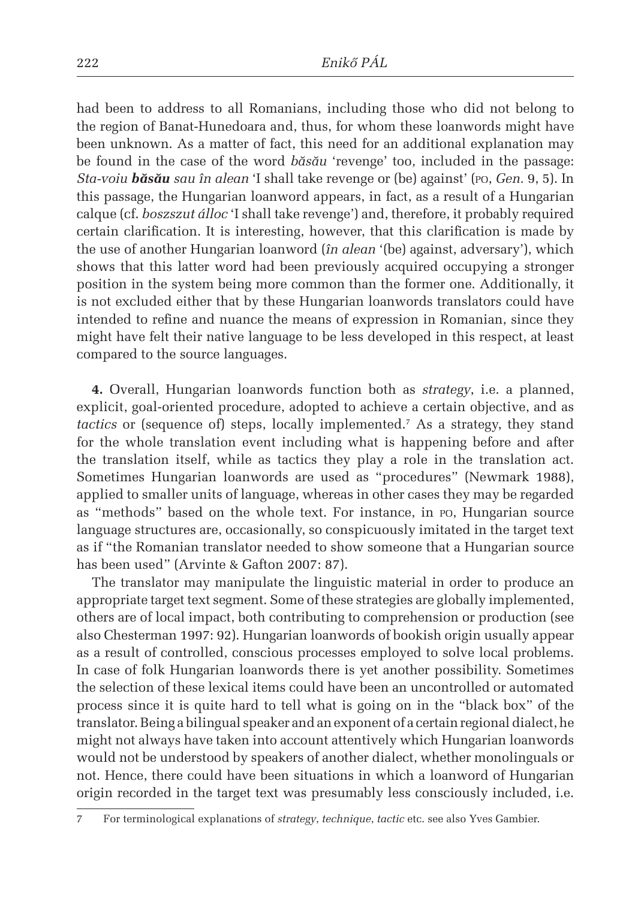had been to address to all Romanians, including those who did not belong to the region of Banat-Hunedoara and, thus, for whom these loanwords might have been unknown. As a matter of fact, this need for an additional explanation may be found in the case of the word *băsău* 'revenge' too*,* included in the passage: *Sta-voiu băsău sau în alean* 'I shall take revenge or (be) against' (po, *Gen.* 9, 5). In this passage, the Hungarian loanword appears, in fact, as a result of a Hungarian calque (cf. *boszszut álloc* 'I shall take revenge') and, therefore, it probably required certain clarification. It is interesting, however, that this clarification is made by the use of another Hungarian loanword (*în alean* '(be) against, adversary'), which shows that this latter word had been previously acquired occupying a stronger position in the system being more common than the former one. Additionally, it is not excluded either that by these Hungarian loanwords translators could have intended to refine and nuance the means of expression in Romanian, since they might have felt their native language to be less developed in this respect, at least compared to the source languages.

**4.** Overall, Hungarian loanwords function both as *strategy*, i.e. a planned, explicit, goal-oriented procedure, adopted to achieve a certain objective, and as *tactics* or (sequence of) steps, locally implemented.<sup>7</sup> As a strategy, they stand for the whole translation event including what is happening before and after the translation itself, while as tactics they play a role in the translation act. Sometimes Hungarian loanwords are used as "procedures" (Newmark 1988), applied to smaller units of language, whereas in other cases they may be regarded as "methods" based on the whole text. For instance, in po, Hungarian source language structures are, occasionally, so conspicuously imitated in the target text as if "the Romanian translator needed to show someone that a Hungarian source has been used" (Arvinte & Gafton 2007: 87).

The translator may manipulate the linguistic material in order to produce an appropriate target text segment. Some of these strategies are globally implemented, others are of local impact, both contributing to comprehension or production (see also Chesterman 1997: 92). Hungarian loanwords of bookish origin usually appear as a result of controlled, conscious processes employed to solve local problems. In case of folk Hungarian loanwords there is yet another possibility. Sometimes the selection of these lexical items could have been an uncontrolled or automated process since it is quite hard to tell what is going on in the "black box" of the translator. Being a bilingual speaker and an exponent of a certain regional dialect, he might not always have taken into account attentively which Hungarian loanwords would not be understood by speakers of another dialect, whether monolinguals or not. Hence, there could have been situations in which a loanword of Hungarian origin recorded in the target text was presumably less consciously included, i.e.

<sup>7</sup> For terminological explanations of *strategy*, *technique*, *tactic* etc. see also Yves Gambier.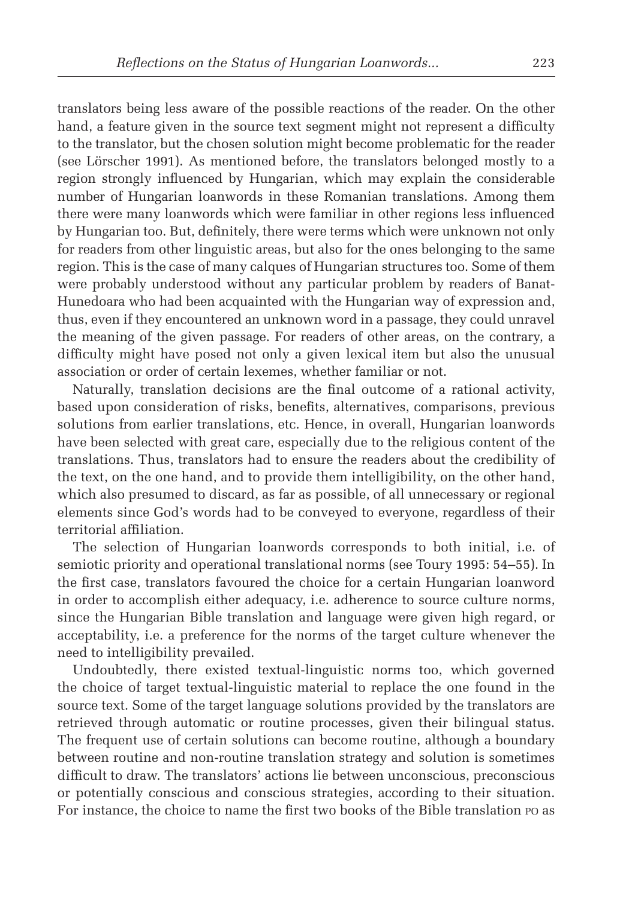translators being less aware of the possible reactions of the reader. On the other hand, a feature given in the source text segment might not represent a difficulty to the translator, but the chosen solution might become problematic for the reader (see Lörscher 1991). As mentioned before, the translators belonged mostly to a region strongly influenced by Hungarian, which may explain the considerable number of Hungarian loanwords in these Romanian translations. Among them there were many loanwords which were familiar in other regions less influenced by Hungarian too. But, definitely, there were terms which were unknown not only for readers from other linguistic areas, but also for the ones belonging to the same region. This is the case of many calques of Hungarian structures too. Some of them were probably understood without any particular problem by readers of Banat-Hunedoara who had been acquainted with the Hungarian way of expression and, thus, even if they encountered an unknown word in a passage, they could unravel the meaning of the given passage. For readers of other areas, on the contrary, a difficulty might have posed not only a given lexical item but also the unusual association or order of certain lexemes, whether familiar or not.

Naturally, translation decisions are the final outcome of a rational activity, based upon consideration of risks, benefits, alternatives, comparisons, previous solutions from earlier translations, etc. Hence, in overall, Hungarian loanwords have been selected with great care, especially due to the religious content of the translations. Thus, translators had to ensure the readers about the credibility of the text, on the one hand, and to provide them intelligibility, on the other hand, which also presumed to discard, as far as possible, of all unnecessary or regional elements since God's words had to be conveyed to everyone, regardless of their territorial affiliation.

The selection of Hungarian loanwords corresponds to both initial, i.e. of semiotic priority and operational translational norms (see Toury 1995: 54–55). In the first case, translators favoured the choice for a certain Hungarian loanword in order to accomplish either adequacy, i.e. adherence to source culture norms, since the Hungarian Bible translation and language were given high regard, or acceptability, i.e. a preference for the norms of the target culture whenever the need to intelligibility prevailed.

Undoubtedly, there existed textual-linguistic norms too, which governed the choice of target textual-linguistic material to replace the one found in the source text. Some of the target language solutions provided by the translators are retrieved through automatic or routine processes, given their bilingual status. The frequent use of certain solutions can become routine, although a boundary between routine and non-routine translation strategy and solution is sometimes difficult to draw. The translators' actions lie between unconscious, preconscious or potentially conscious and conscious strategies, according to their situation. For instance, the choice to name the first two books of the Bible translation po as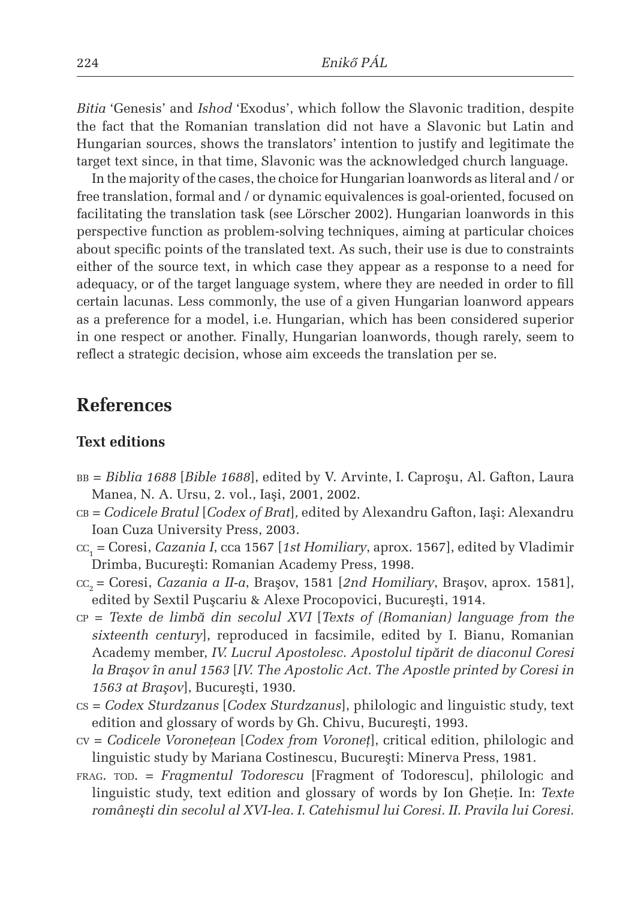*Bitia* 'Genesis' and *Ishod* 'Exodus', which follow the Slavonic tradition, despite the fact that the Romanian translation did not have a Slavonic but Latin and Hungarian sources, shows the translators' intention to justify and legitimate the target text since, in that time, Slavonic was the acknowledged church language.

In the majority of the cases, the choice for Hungarian loanwords as literal and / or free translation, formal and / or dynamic equivalences is goal-oriented, focused on facilitating the translation task (see Lörscher 2002). Hungarian loanwords in this perspective function as problem-solving techniques, aiming at particular choices about specific points of the translated text. As such, their use is due to constraints either of the source text, in which case they appear as a response to a need for adequacy, or of the target language system, where they are needed in order to fill certain lacunas. Less commonly, the use of a given Hungarian loanword appears as a preference for a model, i.e. Hungarian, which has been considered superior in one respect or another. Finally, Hungarian loanwords, though rarely, seem to reflect a strategic decision, whose aim exceeds the translation per se.

## **References**

### **Text editions**

- bb = *Biblia 1688* [*Bible 1688*], edited by V. Arvinte, I. Caproşu, Al. Gafton, Laura Manea, N. A. Ursu, 2. vol., Iaşi, 2001, 2002.
- cb = *Codicele Bratul* [*Codex of Brat*]*,* edited by Alexandru Gafton, Iaşi: Alexandru Ioan Cuza University Press, 2003.
- cc1 = Coresi, *Cazania I*, cca 1567 [*1st Homiliary*, aprox. 1567], edited by Vladimir Drimba, Bucureşti: Romanian Academy Press, 1998.
- cc2 = Coresi, *Cazania a II-a*, Braşov, 1581 [*2nd Homiliary*, Braşov, aprox. 1581], edited by Sextil Puşcariu & Alexe Procopovici, Bucureşti, 1914.
- cp = *Texte de limbă din secolul XVI* [*Texts of (Romanian) language from the sixteenth century*], reproduced in facsimile, edited by I. Bianu, Romanian Academy member, *IV. Lucrul Apostolesc. Apostolul tipărit de diaconul Coresi la Braşov în anul 1563* [*IV. The Apostolic Act. The Apostle printed by Coresi in 1563 at Braşov*], Bucureşti, 1930.
- cs = *Codex Sturdzanus* [*Codex Sturdzanus*], philologic and linguistic study, text edition and glossary of words by Gh. Chivu, Bucureşti, 1993.
- cv = *Codicele Voroneţean* [*Codex from Voroneţ*], critical edition, philologic and linguistic study by Mariana Costinescu, Bucureşti: Minerva Press, 1981.
- frag. tod. = *Fragmentul Todorescu* [Fragment of Todorescu], philologic and linguistic study, text edition and glossary of words by Ion Gheţie. In: *Texte româneşti din secolul al XVI-lea. I. Catehismul lui Coresi. II. Pravila lui Coresi.*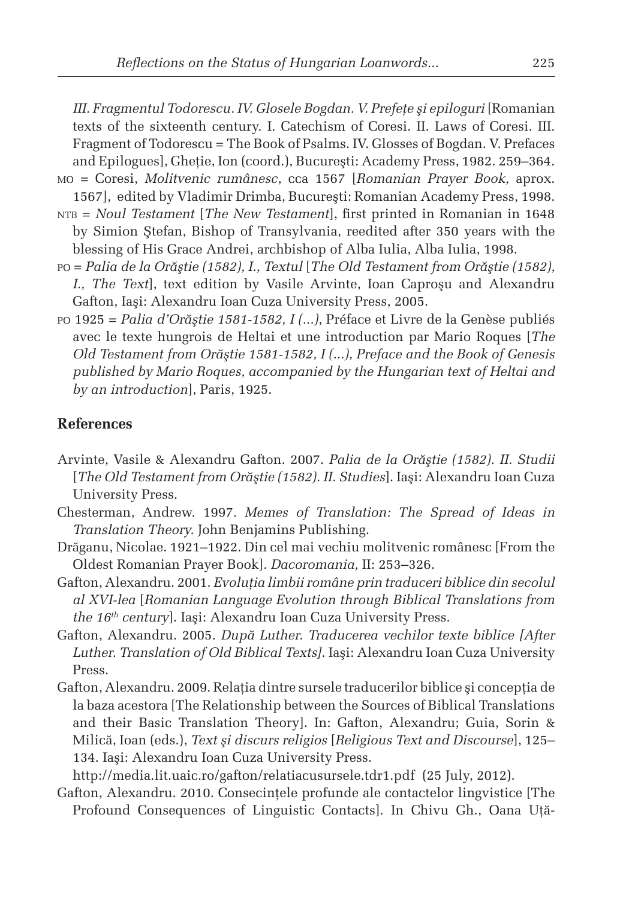*III. Fragmentul Todorescu. IV. Glosele Bogdan. V. Prefeţe şi epiloguri* [Romanian texts of the sixteenth century. I. Catechism of Coresi. II. Laws of Coresi. III. Fragment of Todorescu = The Book of Psalms. IV. Glosses of Bogdan. V. Prefaces and Epilogues], Gheţie, Ion (coord.), Bucureşti: Academy Press, 1982. 259–364. mo = Coresi, *Molitvenic rumânesc*, cca 1567 [*Romanian Prayer Book,* aprox. 1567], edited by Vladimir Drimba, Bucureşti: Romanian Academy Press, 1998. ntb = *Noul Testament* [*The New Testament*], first printed in Romanian in 1648 by Simion Ştefan, Bishop of Transylvania, reedited after 350 years with the blessing of His Grace Andrei, archbishop of Alba Iulia, Alba Iulia, 1998.

- po = *Palia de la Orăştie (1582), I., Textul* [*The Old Testament from Orăştie (1582), I., The Text*], text edition by Vasile Arvinte, Ioan Caproşu and Alexandru Gafton, Iaşi: Alexandru Ioan Cuza University Press, 2005.
- po 1925 = *Palia d'Orăştie 1581-1582, I (...)*, Préface et Livre de la Genèse publiés avec le texte hungrois de Heltai et une introduction par Mario Roques [*The Old Testament from Orăştie 1581-1582, I (...), Preface and the Book of Genesis published by Mario Roques, accompanied by the Hungarian text of Heltai and by an introduction*], Paris, 1925.

#### **References**

- Arvinte, Vasile & Alexandru Gafton. 2007. *Palia de la Orăştie (1582). II. Studii*  [*The Old Testament from Orăştie (1582). II. Studies*]. Iaşi: Alexandru Ioan Cuza University Press.
- Chesterman, Andrew. 1997*. Memes of Translation: The Spread of Ideas in Translation Theory.* John Benjamins Publishing.
- Drăganu, Nicolae. 1921–1922. Din cel mai vechiu molitvenic românesc [From the Oldest Romanian Prayer Book]*. Dacoromania,* II: 253–326.
- Gafton, Alexandru. 2001. *Evoluţia limbii române prin traduceri biblice din secolul al XVI-lea* [*Romanian Language Evolution through Biblical Translations from the 16th century*]. Iaşi: Alexandru Ioan Cuza University Press.
- Gafton, Alexandru. 2005. *După Luther. Traducerea vechilor texte biblice [After Luther. Translation of Old Biblical Texts]*. Iaşi: Alexandru Ioan Cuza University Press.
- Gafton, Alexandru. 2009. Relația dintre sursele traducerilor biblice și concepția de la baza acestora [The Relationship between the Sources of Biblical Translations and their Basic Translation Theory]. In: Gafton, Alexandru; Guia, Sorin & Milică, Ioan (eds.), *Text şi discurs religios* [*Religious Text and Discourse*], 125– 134. Iaşi: Alexandru Ioan Cuza University Press.

http://media.lit.uaic.ro/gafton/relatiacusursele.tdr1.pdf (25 July, 2012).

Gafton, Alexandru. 2010. Consecinţele profunde ale contactelor lingvistice [The Profound Consequences of Linguistic Contacts]. In Chivu Gh., Oana Uţă-